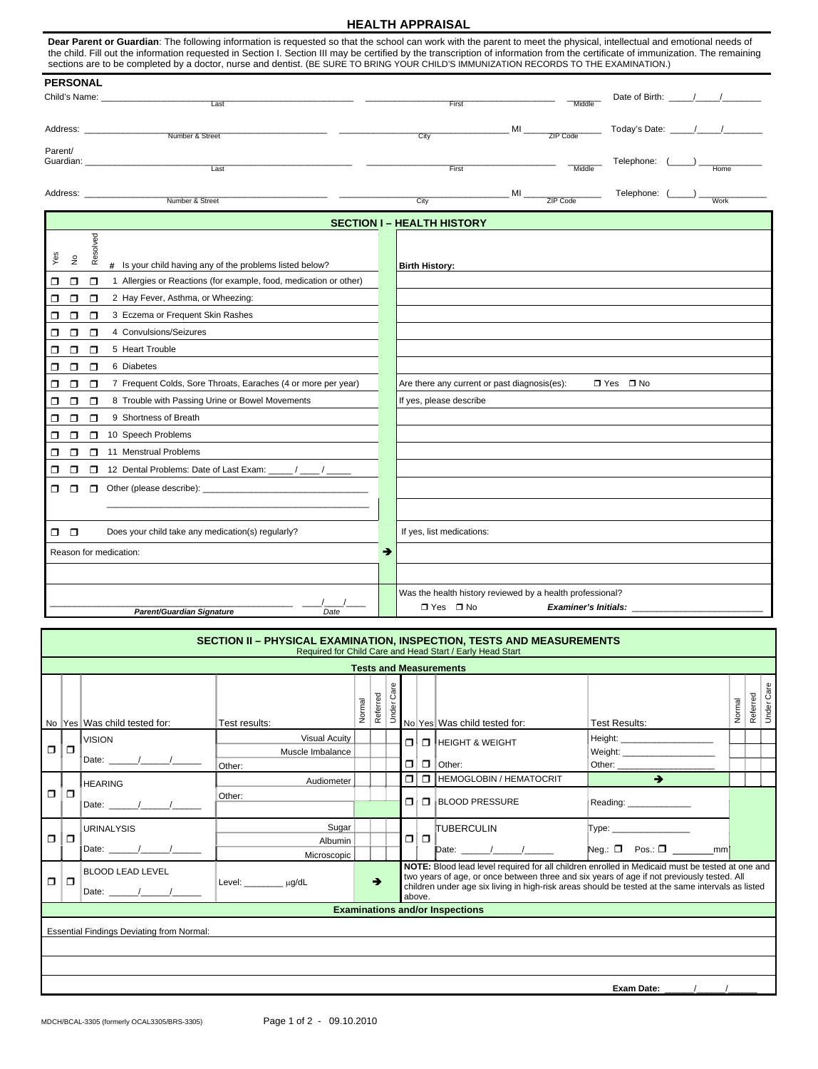## **HEALTH APPRAISAL**

Dear Parent or Guardian: The following information is requested so that the school can work with the parent to meet the physical, intellectual and emotional needs of the child. Fill out the information requested in Section I. Section III may be certified by the transcription of information from the certificate of immunization. The remaining sections are to be completed by a doctor, nurse and dentist. (BE SURE TO BRING YOUR CHILD'S IMMUNIZATION RECORDS TO THE EXAMINATION.)

| <b>PERSONAL</b>                                                         |                                                                                                                                                                                                                                                                                                                                                                                      |                         |                                                                                                 |                      |                                                                                                                       |
|-------------------------------------------------------------------------|--------------------------------------------------------------------------------------------------------------------------------------------------------------------------------------------------------------------------------------------------------------------------------------------------------------------------------------------------------------------------------------|-------------------------|-------------------------------------------------------------------------------------------------|----------------------|-----------------------------------------------------------------------------------------------------------------------|
| Child's Name: _<br>Last                                                 |                                                                                                                                                                                                                                                                                                                                                                                      | First                   |                                                                                                 | Middle               | Date of Birth: ____                                                                                                   |
|                                                                         |                                                                                                                                                                                                                                                                                                                                                                                      |                         |                                                                                                 |                      |                                                                                                                       |
| Number & Street                                                         |                                                                                                                                                                                                                                                                                                                                                                                      | City                    |                                                                                                 | ZIP Code             | Today's Date: __                                                                                                      |
|                                                                         |                                                                                                                                                                                                                                                                                                                                                                                      |                         |                                                                                                 |                      |                                                                                                                       |
| Last                                                                    |                                                                                                                                                                                                                                                                                                                                                                                      | First                   |                                                                                                 | Middle               | Telephone:<br>Home                                                                                                    |
|                                                                         |                                                                                                                                                                                                                                                                                                                                                                                      |                         |                                                                                                 |                      | Telephone:                                                                                                            |
|                                                                         |                                                                                                                                                                                                                                                                                                                                                                                      |                         |                                                                                                 |                      | <b>Work</b>                                                                                                           |
|                                                                         |                                                                                                                                                                                                                                                                                                                                                                                      |                         |                                                                                                 |                      |                                                                                                                       |
|                                                                         |                                                                                                                                                                                                                                                                                                                                                                                      |                         |                                                                                                 |                      |                                                                                                                       |
|                                                                         |                                                                                                                                                                                                                                                                                                                                                                                      |                         |                                                                                                 |                      |                                                                                                                       |
|                                                                         |                                                                                                                                                                                                                                                                                                                                                                                      |                         |                                                                                                 |                      |                                                                                                                       |
|                                                                         |                                                                                                                                                                                                                                                                                                                                                                                      |                         |                                                                                                 |                      |                                                                                                                       |
|                                                                         |                                                                                                                                                                                                                                                                                                                                                                                      |                         |                                                                                                 |                      |                                                                                                                       |
| 4 Convulsions/Seizures                                                  |                                                                                                                                                                                                                                                                                                                                                                                      |                         |                                                                                                 |                      |                                                                                                                       |
| 5 Heart Trouble                                                         |                                                                                                                                                                                                                                                                                                                                                                                      |                         |                                                                                                 |                      |                                                                                                                       |
| 6 Diabetes<br>$\Box$                                                    |                                                                                                                                                                                                                                                                                                                                                                                      |                         |                                                                                                 |                      |                                                                                                                       |
| 7 Frequent Colds, Sore Throats, Earaches (4 or more per year)<br>$\Box$ |                                                                                                                                                                                                                                                                                                                                                                                      |                         |                                                                                                 |                      | $\Box$ Yes $\Box$ No                                                                                                  |
| 8 Trouble with Passing Urine or Bowel Movements<br>$\Box$               |                                                                                                                                                                                                                                                                                                                                                                                      | If yes, please describe |                                                                                                 |                      |                                                                                                                       |
| 9 Shortness of Breath                                                   |                                                                                                                                                                                                                                                                                                                                                                                      |                         |                                                                                                 |                      |                                                                                                                       |
| 10 Speech Problems<br>$\Box$                                            |                                                                                                                                                                                                                                                                                                                                                                                      |                         |                                                                                                 |                      |                                                                                                                       |
| 11 Menstrual Problems                                                   |                                                                                                                                                                                                                                                                                                                                                                                      |                         |                                                                                                 |                      |                                                                                                                       |
| 12 Dental Problems: Date of Last Exam: _____/ ____/<br>$\Box$           |                                                                                                                                                                                                                                                                                                                                                                                      |                         |                                                                                                 |                      |                                                                                                                       |
| $\Box$                                                                  |                                                                                                                                                                                                                                                                                                                                                                                      |                         |                                                                                                 |                      |                                                                                                                       |
|                                                                         |                                                                                                                                                                                                                                                                                                                                                                                      |                         |                                                                                                 |                      |                                                                                                                       |
|                                                                         |                                                                                                                                                                                                                                                                                                                                                                                      |                         |                                                                                                 |                      |                                                                                                                       |
|                                                                         |                                                                                                                                                                                                                                                                                                                                                                                      |                         |                                                                                                 |                      |                                                                                                                       |
|                                                                         |                                                                                                                                                                                                                                                                                                                                                                                      |                         |                                                                                                 |                      |                                                                                                                       |
|                                                                         |                                                                                                                                                                                                                                                                                                                                                                                      |                         |                                                                                                 |                      |                                                                                                                       |
|                                                                         |                                                                                                                                                                                                                                                                                                                                                                                      |                         |                                                                                                 |                      |                                                                                                                       |
| Parent/Guardian Signature<br>Date                                       |                                                                                                                                                                                                                                                                                                                                                                                      | $\Box$ Yes $\Box$ No    |                                                                                                 |                      | Examiner's Initials: _______________                                                                                  |
| $\Box$<br>$\Box$                                                        | Address: _____________________<br>Guardian: Communication<br>Number & Street<br>Resolved<br>Is your child having any of the problems listed below?<br>#<br>1 Allergies or Reactions (for example, food, medication or other)<br>2 Hay Fever, Asthma, or Wheezing:<br>3 Eczema or Frequent Skin Rashes<br>Does your child take any medication(s) regularly?<br>Reason for medication: | →                       | City<br><b>SECTION I - HEALTH HISTORY</b><br><b>Birth History:</b><br>If yes, list medications: | M <sub>l</sub><br>MI | ZIP Code<br>Are there any current or past diagnosis(es):<br>Was the health history reviewed by a health professional? |

| $\Box$ | $\Box$                                           | ᠁<br>Date:                       | Other:                                |   | $\Box$ | $\Box$ | <b>BLOOD PRESSURE</b>                                                                                                                                                                                                                                                                              | Reading: _______________ |  |
|--------|--------------------------------------------------|----------------------------------|---------------------------------------|---|--------|--------|----------------------------------------------------------------------------------------------------------------------------------------------------------------------------------------------------------------------------------------------------------------------------------------------------|--------------------------|--|
| $\Box$ | $\Box$                                           | <b>URINALYSIS</b><br>Date: and a | Sugar<br>Albumin                      |   | $\Box$ | $\Box$ | <b>TUBERCULIN</b><br>$\blacksquare$ Date:                                                                                                                                                                                                                                                          |                          |  |
| $\Box$ | $\Box$                                           | <b>BLOOD LEAD LEVEL</b><br>Date: | Microscopic<br>Level: _________ µg/dL | → | above. |        | NOTE: Blood lead level required for all children enrolled in Medicaid must be tested at one and<br>two years of age, or once between three and six years of age if not previously tested. All<br>children under age six living in high-risk areas should be tested at the same intervals as listed |                          |  |
|        | <b>Examinations and/or Inspections</b>           |                                  |                                       |   |        |        |                                                                                                                                                                                                                                                                                                    |                          |  |
|        | <b>Essential Findings Deviating from Normal:</b> |                                  |                                       |   |        |        |                                                                                                                                                                                                                                                                                                    |                          |  |
|        |                                                  |                                  |                                       |   |        |        |                                                                                                                                                                                                                                                                                                    |                          |  |
|        |                                                  |                                  |                                       |   |        |        |                                                                                                                                                                                                                                                                                                    | <b>Exam Date:</b>        |  |

|        | SECTION II - PHYSICAL EXAMINATION, INSPECTION, TESTS AND MEASUREMENTS<br>Required for Child Care and Head Start / Early Head Start |                              |                                             |   |          |          |                  |                  |                                  |                              |          |          |                    |
|--------|------------------------------------------------------------------------------------------------------------------------------------|------------------------------|---------------------------------------------|---|----------|----------|------------------|------------------|----------------------------------|------------------------------|----------|----------|--------------------|
|        | <b>Tests and Measurements</b>                                                                                                      |                              |                                             |   |          |          |                  |                  |                                  |                              |          |          |                    |
|        |                                                                                                                                    | No Yes Was child tested for: | Test results:                               | ğ | Referred | <b>D</b> |                  |                  | No Yes Was child tested for:     | <b>Test Results:</b>         | mal<br>ğ | Referred | Care<br>Under<br>U |
| $\Box$ |                                                                                                                                    | IVISION.<br>Date:            | Visual Acuity<br>Muscle Imbalance<br>Other: |   |          |          | $\Box$<br>$\Box$ | $\Box$<br>$\Box$ | HEIGHT & WEIGHT<br><b>Other:</b> | Height:<br>Weight:<br>Other: |          |          |                    |
|        |                                                                                                                                    | <b>IHFARING</b>              | Audiometer                                  |   |          |          | $\Box$           | $\Box$           | HEMOGLOBIN / HEMATOCRIT          |                              |          |          |                    |